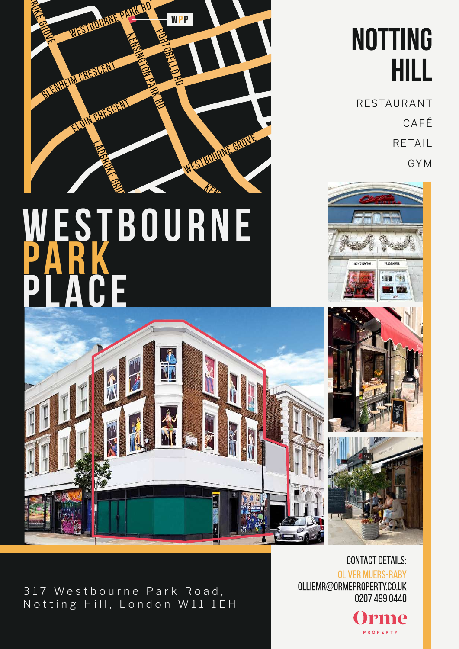

## WESTBOURNE PARK ACE **KENSING**



RESTAURANT CAFÉ RETAIL GYM







317 Westbourne Park Road, Notting Hill, London W11 1EH

**HOLLAND** 

PARK

**CONTACT DETAILS: OLIVER MUERS-RABY** OLLIEMR@ORMEPROPERTY.CO.UK 0207 499 0440